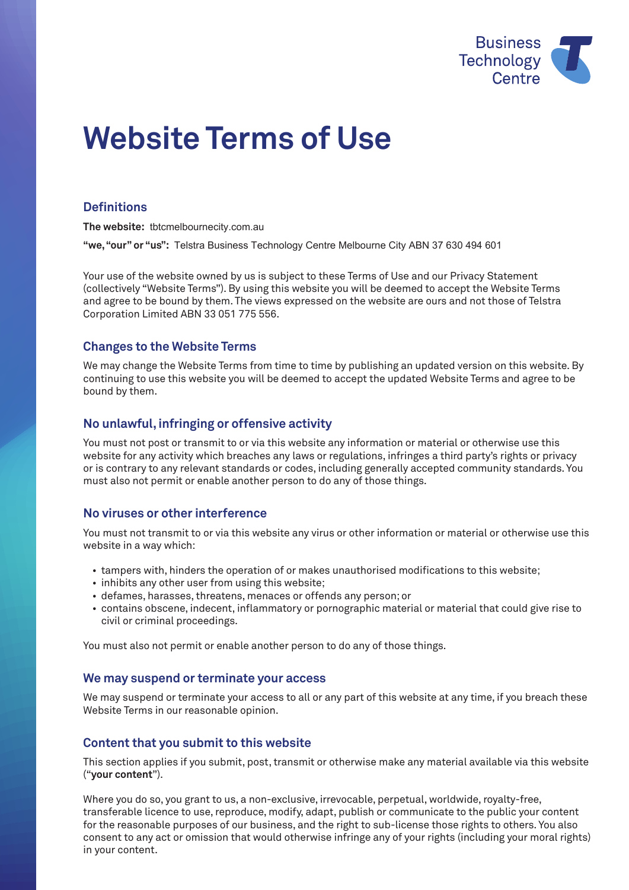

# **Website Terms of Use**

# **Definitions**

**The website:** tbtcmelbournecity.com.au

**"we, "our" or "us":**  Telstra Business Technology Centre Melbourne City ABN 37 630 494 601

Your use of the website owned by us is subject to these Terms of Use and our Privacy Statement (collectively "Website Terms"). By using this website you will be deemed to accept the Website Terms and agree to be bound by them. The views expressed on the website are ours and not those of Telstra Corporation Limited ABN 33 051 775 556.

# **Changes to the Website Terms**

We may change the Website Terms from time to time by publishing an updated version on this website. By continuing to use this website you will be deemed to accept the updated Website Terms and agree to be bound by them.

## **No unlawful, infringing or offensive activity**

You must not post or transmit to or via this website any information or material or otherwise use this website for any activity which breaches any laws or regulations, infringes a third party's rights or privacy or is contrary to any relevant standards or codes, including generally accepted community standards. You must also not permit or enable another person to do any of those things.

# **No viruses or other interference**

You must not transmit to or via this website any virus or other information or material or otherwise use this website in a way which:

- tampers with, hinders the operation of or makes unauthorised modifications to this website;
- inhibits any other user from using this website;
- defames, harasses, threatens, menaces or offends any person; or
- contains obscene, indecent, inflammatory or pornographic material or material that could give rise to civil or criminal proceedings.

You must also not permit or enable another person to do any of those things.

## **We may suspend or terminate your access**

We may suspend or terminate your access to all or any part of this website at any time, if you breach these Website Terms in our reasonable opinion.

## **Content that you submit to this website**

This section applies if you submit, post, transmit or otherwise make any material available via this website ("**your content**").

Where you do so, you grant to us, a non-exclusive, irrevocable, perpetual, worldwide, royalty-free, transferable licence to use, reproduce, modify, adapt, publish or communicate to the public your content for the reasonable purposes of our business, and the right to sub-license those rights to others. You also consent to any act or omission that would otherwise infringe any of your rights (including your moral rights) in your content.